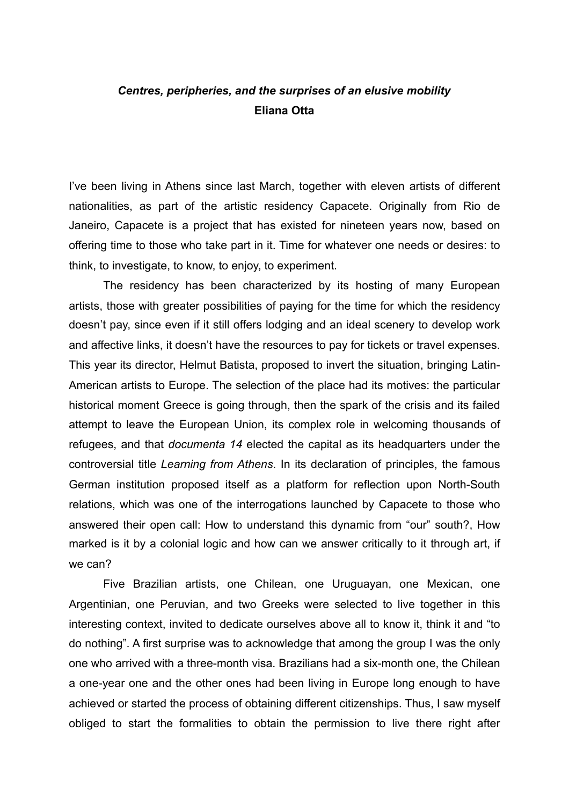## *Centres, peripheries, and the surprises of an elusive mobility* **Eliana Otta**

I've been living in Athens since last March, together with eleven artists of different nationalities, as part of the artistic residency Capacete. Originally from Rio de Janeiro, Capacete is a project that has existed for nineteen years now, based on offering time to those who take part in it. Time for whatever one needs or desires: to think, to investigate, to know, to enjoy, to experiment.

 The residency has been characterized by its hosting of many European artists, those with greater possibilities of paying for the time for which the residency doesn't pay, since even if it still offers lodging and an ideal scenery to develop work and affective links, it doesn't have the resources to pay for tickets or travel expenses. This year its director, Helmut Batista, proposed to invert the situation, bringing Latin-American artists to Europe. The selection of the place had its motives: the particular historical moment Greece is going through, then the spark of the crisis and its failed attempt to leave the European Union, its complex role in welcoming thousands of refugees, and that *documenta 14* elected the capital as its headquarters under the controversial title *Learning from Athens*. In its declaration of principles, the famous German institution proposed itself as a platform for reflection upon North-South relations, which was one of the interrogations launched by Capacete to those who answered their open call: How to understand this dynamic from "our" south?, How marked is it by a colonial logic and how can we answer critically to it through art, if we can?

 Five Brazilian artists, one Chilean, one Uruguayan, one Mexican, one Argentinian, one Peruvian, and two Greeks were selected to live together in this interesting context, invited to dedicate ourselves above all to know it, think it and "to do nothing". A first surprise was to acknowledge that among the group I was the only one who arrived with a three-month visa. Brazilians had a six-month one, the Chilean a one-year one and the other ones had been living in Europe long enough to have achieved or started the process of obtaining different citizenships. Thus, I saw myself obliged to start the formalities to obtain the permission to live there right after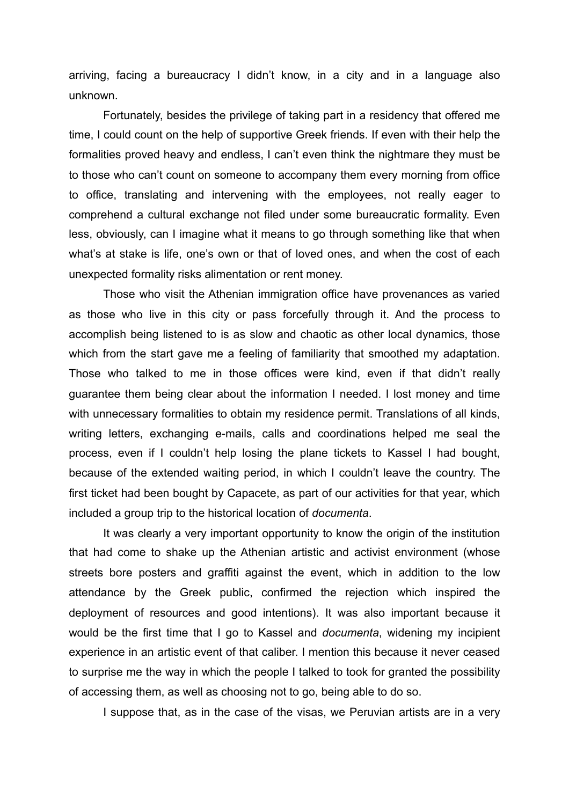arriving, facing a bureaucracy I didn't know, in a city and in a language also unknown.

 Fortunately, besides the privilege of taking part in a residency that offered me time, I could count on the help of supportive Greek friends. If even with their help the formalities proved heavy and endless, I can't even think the nightmare they must be to those who can't count on someone to accompany them every morning from office to office, translating and intervening with the employees, not really eager to comprehend a cultural exchange not filed under some bureaucratic formality. Even less, obviously, can I imagine what it means to go through something like that when what's at stake is life, one's own or that of loved ones, and when the cost of each unexpected formality risks alimentation or rent money.

 Those who visit the Athenian immigration office have provenances as varied as those who live in this city or pass forcefully through it. And the process to accomplish being listened to is as slow and chaotic as other local dynamics, those which from the start gave me a feeling of familiarity that smoothed my adaptation. Those who talked to me in those offices were kind, even if that didn't really guarantee them being clear about the information I needed. I lost money and time with unnecessary formalities to obtain my residence permit. Translations of all kinds, writing letters, exchanging e-mails, calls and coordinations helped me seal the process, even if I couldn't help losing the plane tickets to Kassel I had bought, because of the extended waiting period, in which I couldn't leave the country. The first ticket had been bought by Capacete, as part of our activities for that year, which included a group trip to the historical location of *documenta*.

 It was clearly a very important opportunity to know the origin of the institution that had come to shake up the Athenian artistic and activist environment (whose streets bore posters and graffiti against the event, which in addition to the low attendance by the Greek public, confirmed the rejection which inspired the deployment of resources and good intentions). It was also important because it would be the first time that I go to Kassel and *documenta*, widening my incipient experience in an artistic event of that caliber. I mention this because it never ceased to surprise me the way in which the people I talked to took for granted the possibility of accessing them, as well as choosing not to go, being able to do so.

I suppose that, as in the case of the visas, we Peruvian artists are in a very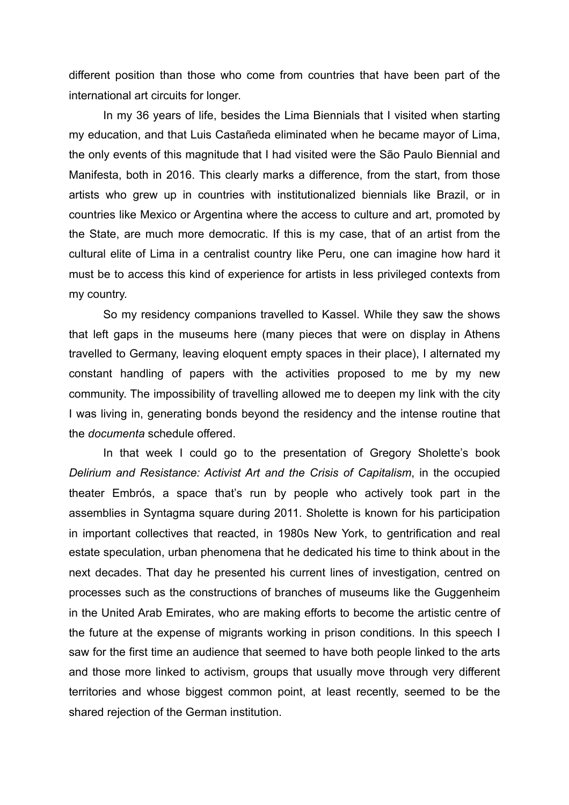different position than those who come from countries that have been part of the international art circuits for longer.

 In my 36 years of life, besides the Lima Biennials that I visited when starting my education, and that Luis Castañeda eliminated when he became mayor of Lima, the only events of this magnitude that I had visited were the São Paulo Biennial and Manifesta, both in 2016. This clearly marks a difference, from the start, from those artists who grew up in countries with institutionalized biennials like Brazil, or in countries like Mexico or Argentina where the access to culture and art, promoted by the State, are much more democratic. If this is my case, that of an artist from the cultural elite of Lima in a centralist country like Peru, one can imagine how hard it must be to access this kind of experience for artists in less privileged contexts from my country.

 So my residency companions travelled to Kassel. While they saw the shows that left gaps in the museums here (many pieces that were on display in Athens travelled to Germany, leaving eloquent empty spaces in their place), I alternated my constant handling of papers with the activities proposed to me by my new community. The impossibility of travelling allowed me to deepen my link with the city I was living in, generating bonds beyond the residency and the intense routine that the *documenta* schedule offered.

 In that week I could go to the presentation of Gregory Sholette's book *Delirium and Resistance: Activist Art and the Crisis of Capitalism*, in the occupied theater Embrós, a space that's run by people who actively took part in the assemblies in Syntagma square during 2011. Sholette is known for his participation in important collectives that reacted, in 1980s New York, to gentrification and real estate speculation, urban phenomena that he dedicated his time to think about in the next decades. That day he presented his current lines of investigation, centred on processes such as the constructions of branches of museums like the Guggenheim in the United Arab Emirates, who are making efforts to become the artistic centre of the future at the expense of migrants working in prison conditions. In this speech I saw for the first time an audience that seemed to have both people linked to the arts and those more linked to activism, groups that usually move through very different territories and whose biggest common point, at least recently, seemed to be the shared rejection of the German institution.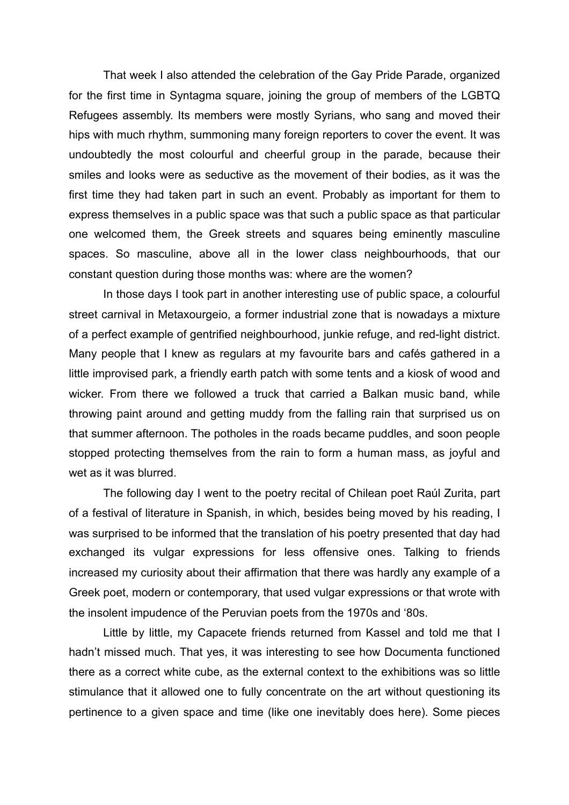That week I also attended the celebration of the Gay Pride Parade, organized for the first time in Syntagma square, joining the group of members of the LGBTQ Refugees assembly. Its members were mostly Syrians, who sang and moved their hips with much rhythm, summoning many foreign reporters to cover the event. It was undoubtedly the most colourful and cheerful group in the parade, because their smiles and looks were as seductive as the movement of their bodies, as it was the first time they had taken part in such an event. Probably as important for them to express themselves in a public space was that such a public space as that particular one welcomed them, the Greek streets and squares being eminently masculine spaces. So masculine, above all in the lower class neighbourhoods, that our constant question during those months was: where are the women?

 In those days I took part in another interesting use of public space, a colourful street carnival in Metaxourgeio, a former industrial zone that is nowadays a mixture of a perfect example of gentrified neighbourhood, junkie refuge, and red-light district. Many people that I knew as regulars at my favourite bars and cafés gathered in a little improvised park, a friendly earth patch with some tents and a kiosk of wood and wicker. From there we followed a truck that carried a Balkan music band, while throwing paint around and getting muddy from the falling rain that surprised us on that summer afternoon. The potholes in the roads became puddles, and soon people stopped protecting themselves from the rain to form a human mass, as joyful and wet as it was blurred.

 The following day I went to the poetry recital of Chilean poet Raúl Zurita, part of a festival of literature in Spanish, in which, besides being moved by his reading, I was surprised to be informed that the translation of his poetry presented that day had exchanged its vulgar expressions for less offensive ones. Talking to friends increased my curiosity about their affirmation that there was hardly any example of a Greek poet, modern or contemporary, that used vulgar expressions or that wrote with the insolent impudence of the Peruvian poets from the 1970s and '80s.

 Little by little, my Capacete friends returned from Kassel and told me that I hadn't missed much. That yes, it was interesting to see how Documenta functioned there as a correct white cube, as the external context to the exhibitions was so little stimulance that it allowed one to fully concentrate on the art without questioning its pertinence to a given space and time (like one inevitably does here). Some pieces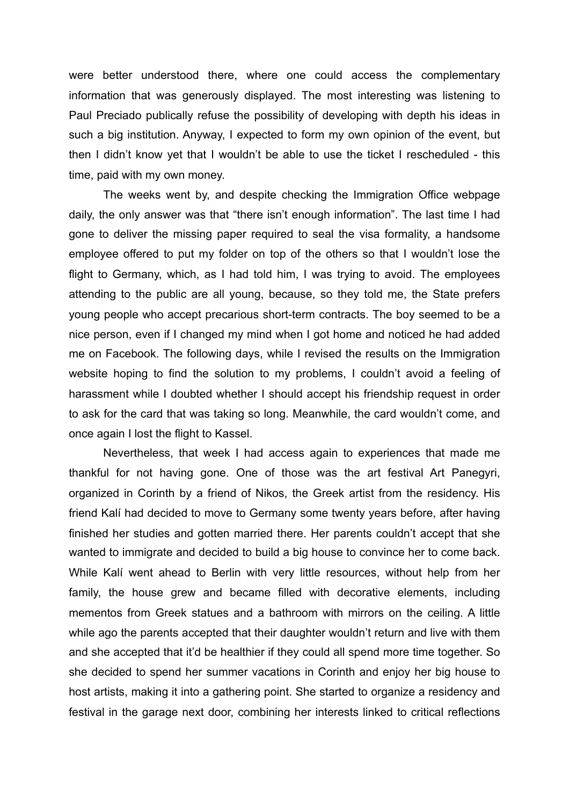were better understood there, where one could access the complementary information that was generously displayed. The most interesting was listening to Paul Preciado publically refuse the possibility of developing with depth his ideas in such a big institution. Anyway, I expected to form my own opinion of the event, but then I didn't know yet that I wouldn't be able to use the ticket I rescheduled - this time, paid with my own money.

 The weeks went by, and despite checking the Immigration Office webpage daily, the only answer was that "there isn't enough information". The last time I had gone to deliver the missing paper required to seal the visa formality, a handsome employee offered to put my folder on top of the others so that I wouldn't lose the flight to Germany, which, as I had told him, I was trying to avoid. The employees attending to the public are all young, because, so they told me, the State prefers young people who accept precarious short-term contracts. The boy seemed to be a nice person, even if I changed my mind when I got home and noticed he had added me on Facebook. The following days, while I revised the results on the Immigration website hoping to find the solution to my problems, I couldn't avoid a feeling of harassment while I doubted whether I should accept his friendship request in order to ask for the card that was taking so long. Meanwhile, the card wouldn't come, and once again I lost the flight to Kassel.

 Nevertheless, that week I had access again to experiences that made me thankful for not having gone. One of those was the art festival Art Panegyri, organized in Corinth by a friend of Nikos, the Greek artist from the residency. His friend Kalí had decided to move to Germany some twenty years before, after having finished her studies and gotten married there. Her parents couldn't accept that she wanted to immigrate and decided to build a big house to convince her to come back. While Kalí went ahead to Berlin with very little resources, without help from her family, the house grew and became filled with decorative elements, including mementos from Greek statues and a bathroom with mirrors on the ceiling. A little while ago the parents accepted that their daughter wouldn't return and live with them and she accepted that it'd be healthier if they could all spend more time together. So she decided to spend her summer vacations in Corinth and enjoy her big house to host artists, making it into a gathering point. She started to organize a residency and festival in the garage next door, combining her interests linked to critical reflections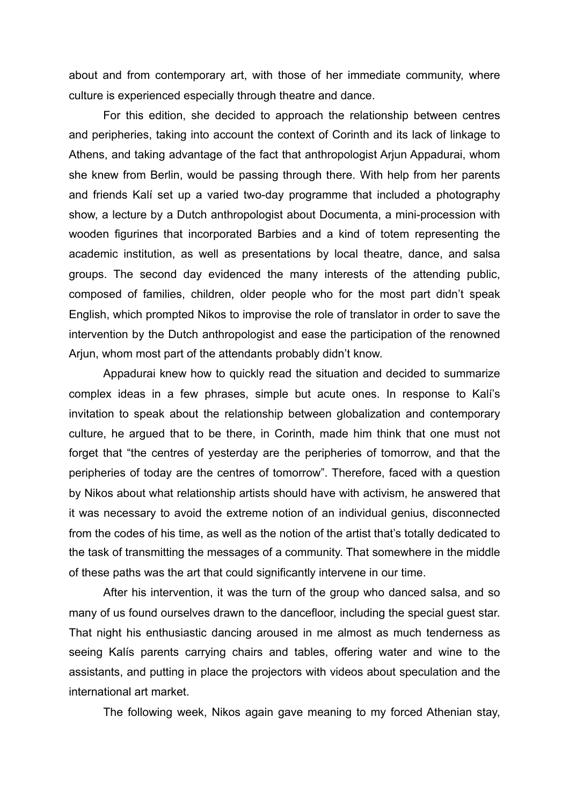about and from contemporary art, with those of her immediate community, where culture is experienced especially through theatre and dance.

 For this edition, she decided to approach the relationship between centres and peripheries, taking into account the context of Corinth and its lack of linkage to Athens, and taking advantage of the fact that anthropologist Arjun Appadurai, whom she knew from Berlin, would be passing through there. With help from her parents and friends Kalí set up a varied two-day programme that included a photography show, a lecture by a Dutch anthropologist about Documenta, a mini-procession with wooden figurines that incorporated Barbies and a kind of totem representing the academic institution, as well as presentations by local theatre, dance, and salsa groups. The second day evidenced the many interests of the attending public, composed of families, children, older people who for the most part didn't speak English, which prompted Nikos to improvise the role of translator in order to save the intervention by the Dutch anthropologist and ease the participation of the renowned Arjun, whom most part of the attendants probably didn't know.

 Appadurai knew how to quickly read the situation and decided to summarize complex ideas in a few phrases, simple but acute ones. In response to Kalí's invitation to speak about the relationship between globalization and contemporary culture, he argued that to be there, in Corinth, made him think that one must not forget that "the centres of yesterday are the peripheries of tomorrow, and that the peripheries of today are the centres of tomorrow". Therefore, faced with a question by Nikos about what relationship artists should have with activism, he answered that it was necessary to avoid the extreme notion of an individual genius, disconnected from the codes of his time, as well as the notion of the artist that's totally dedicated to the task of transmitting the messages of a community. That somewhere in the middle of these paths was the art that could significantly intervene in our time.

 After his intervention, it was the turn of the group who danced salsa, and so many of us found ourselves drawn to the dancefloor, including the special guest star. That night his enthusiastic dancing aroused in me almost as much tenderness as seeing Kalís parents carrying chairs and tables, offering water and wine to the assistants, and putting in place the projectors with videos about speculation and the international art market.

The following week, Nikos again gave meaning to my forced Athenian stay,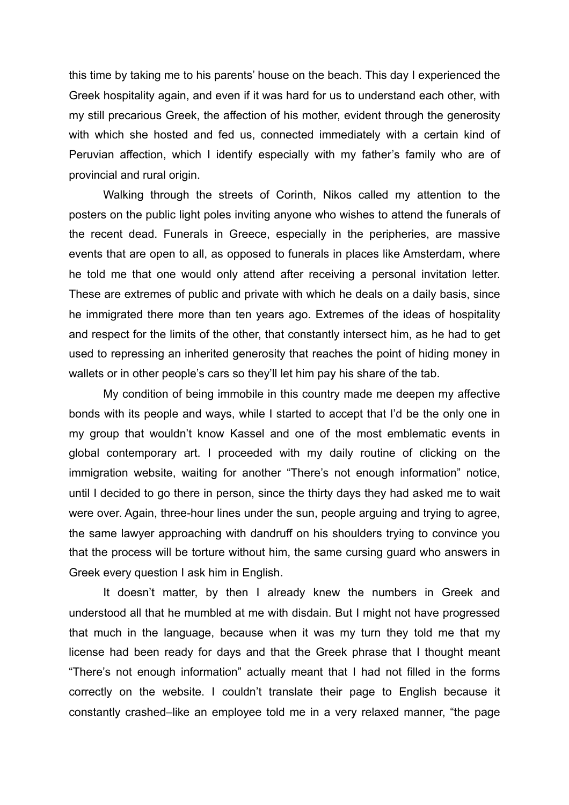this time by taking me to his parents' house on the beach. This day I experienced the Greek hospitality again, and even if it was hard for us to understand each other, with my still precarious Greek, the affection of his mother, evident through the generosity with which she hosted and fed us, connected immediately with a certain kind of Peruvian affection, which I identify especially with my father's family who are of provincial and rural origin.

 Walking through the streets of Corinth, Nikos called my attention to the posters on the public light poles inviting anyone who wishes to attend the funerals of the recent dead. Funerals in Greece, especially in the peripheries, are massive events that are open to all, as opposed to funerals in places like Amsterdam, where he told me that one would only attend after receiving a personal invitation letter. These are extremes of public and private with which he deals on a daily basis, since he immigrated there more than ten years ago. Extremes of the ideas of hospitality and respect for the limits of the other, that constantly intersect him, as he had to get used to repressing an inherited generosity that reaches the point of hiding money in wallets or in other people's cars so they'll let him pay his share of the tab.

 My condition of being immobile in this country made me deepen my affective bonds with its people and ways, while I started to accept that I'd be the only one in my group that wouldn't know Kassel and one of the most emblematic events in global contemporary art. I proceeded with my daily routine of clicking on the immigration website, waiting for another "There's not enough information" notice, until I decided to go there in person, since the thirty days they had asked me to wait were over. Again, three-hour lines under the sun, people arguing and trying to agree, the same lawyer approaching with dandruff on his shoulders trying to convince you that the process will be torture without him, the same cursing guard who answers in Greek every question I ask him in English.

 It doesn't matter, by then I already knew the numbers in Greek and understood all that he mumbled at me with disdain. But I might not have progressed that much in the language, because when it was my turn they told me that my license had been ready for days and that the Greek phrase that I thought meant "There's not enough information" actually meant that I had not filled in the forms correctly on the website. I couldn't translate their page to English because it constantly crashed–like an employee told me in a very relaxed manner, "the page